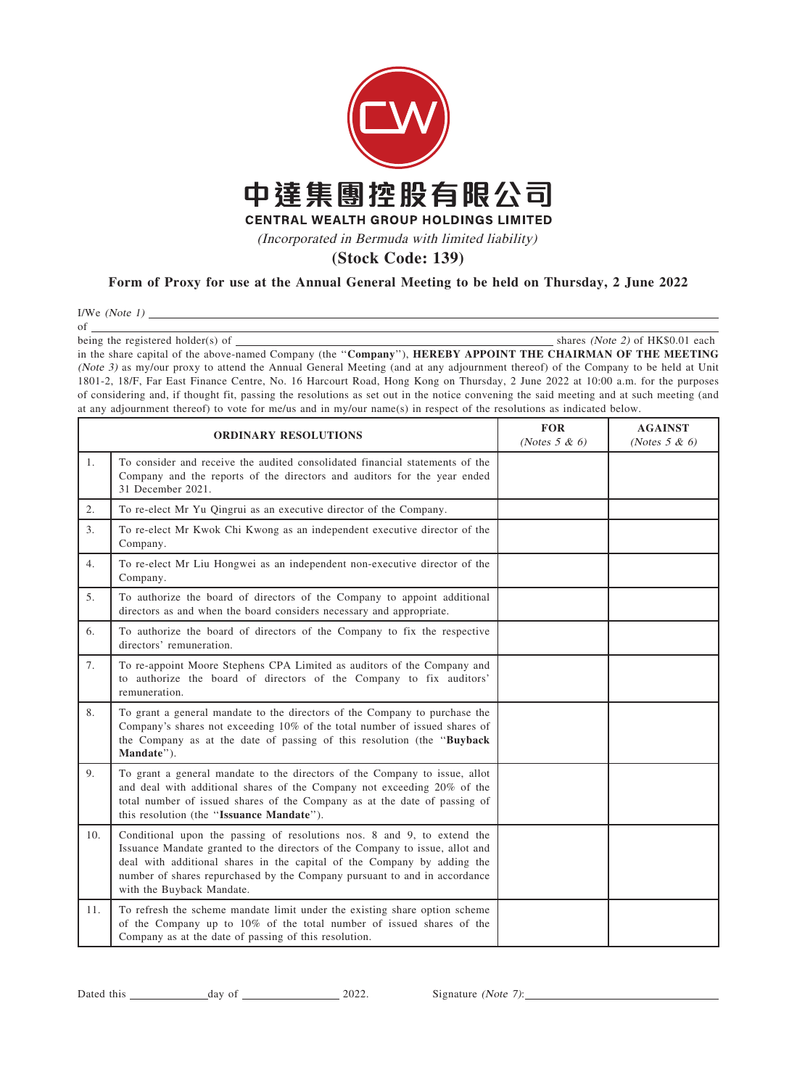

## Form of Proxy for use at the Annual General Meeting to be held on Thursday, 2 June 2022

I/We (Note  $1)$   $\_\_$ 

of

being the registered holder(s) of  $\Box$ 

in the share capital of the above-named Company (the "Company"), HEREBY APPOINT THE CHAIRMAN OF THE MEETING (Note 3) as my/our proxy to attend the Annual General Meeting (and at any adjournment thereof) of the Company to be held at Unit 1801-2, 18/F, Far East Finance Centre, No. 16 Harcourt Road, Hong Kong on Thursday, 2 June 2022 at 10:00 a.m. for the purposes of considering and, if thought fit, passing the resolutions as set out in the notice convening the said meeting and at such meeting (and at any adjournment thereof) to vote for me/us and in my/our name(s) in respect of the resolutions as indicated below.

| <b>ORDINARY RESOLUTIONS</b> |                                                                                                                                                                                                                                                                                                                                              | <b>FOR</b><br>(Notes $5 & 6$ ) | <b>AGAINST</b><br>(Notes $5 & 6$ ) |
|-----------------------------|----------------------------------------------------------------------------------------------------------------------------------------------------------------------------------------------------------------------------------------------------------------------------------------------------------------------------------------------|--------------------------------|------------------------------------|
| 1.                          | To consider and receive the audited consolidated financial statements of the<br>Company and the reports of the directors and auditors for the year ended<br>31 December 2021.                                                                                                                                                                |                                |                                    |
| 2.                          | To re-elect Mr Yu Qingrui as an executive director of the Company.                                                                                                                                                                                                                                                                           |                                |                                    |
| 3.                          | To re-elect Mr Kwok Chi Kwong as an independent executive director of the<br>Company.                                                                                                                                                                                                                                                        |                                |                                    |
| 4.                          | To re-elect Mr Liu Hongwei as an independent non-executive director of the<br>Company.                                                                                                                                                                                                                                                       |                                |                                    |
| 5.                          | To authorize the board of directors of the Company to appoint additional<br>directors as and when the board considers necessary and appropriate.                                                                                                                                                                                             |                                |                                    |
| 6.                          | To authorize the board of directors of the Company to fix the respective<br>directors' remuneration.                                                                                                                                                                                                                                         |                                |                                    |
| 7.                          | To re-appoint Moore Stephens CPA Limited as auditors of the Company and<br>to authorize the board of directors of the Company to fix auditors'<br>remuneration.                                                                                                                                                                              |                                |                                    |
| 8.                          | To grant a general mandate to the directors of the Company to purchase the<br>Company's shares not exceeding 10% of the total number of issued shares of<br>the Company as at the date of passing of this resolution (the "Buyback<br>Mandate").                                                                                             |                                |                                    |
| 9.                          | To grant a general mandate to the directors of the Company to issue, allot<br>and deal with additional shares of the Company not exceeding 20% of the<br>total number of issued shares of the Company as at the date of passing of<br>this resolution (the "Issuance Mandate").                                                              |                                |                                    |
| 10.                         | Conditional upon the passing of resolutions nos. 8 and 9, to extend the<br>Issuance Mandate granted to the directors of the Company to issue, allot and<br>deal with additional shares in the capital of the Company by adding the<br>number of shares repurchased by the Company pursuant to and in accordance<br>with the Buyback Mandate. |                                |                                    |
| 11.                         | To refresh the scheme mandate limit under the existing share option scheme<br>of the Company up to 10% of the total number of issued shares of the<br>Company as at the date of passing of this resolution.                                                                                                                                  |                                |                                    |